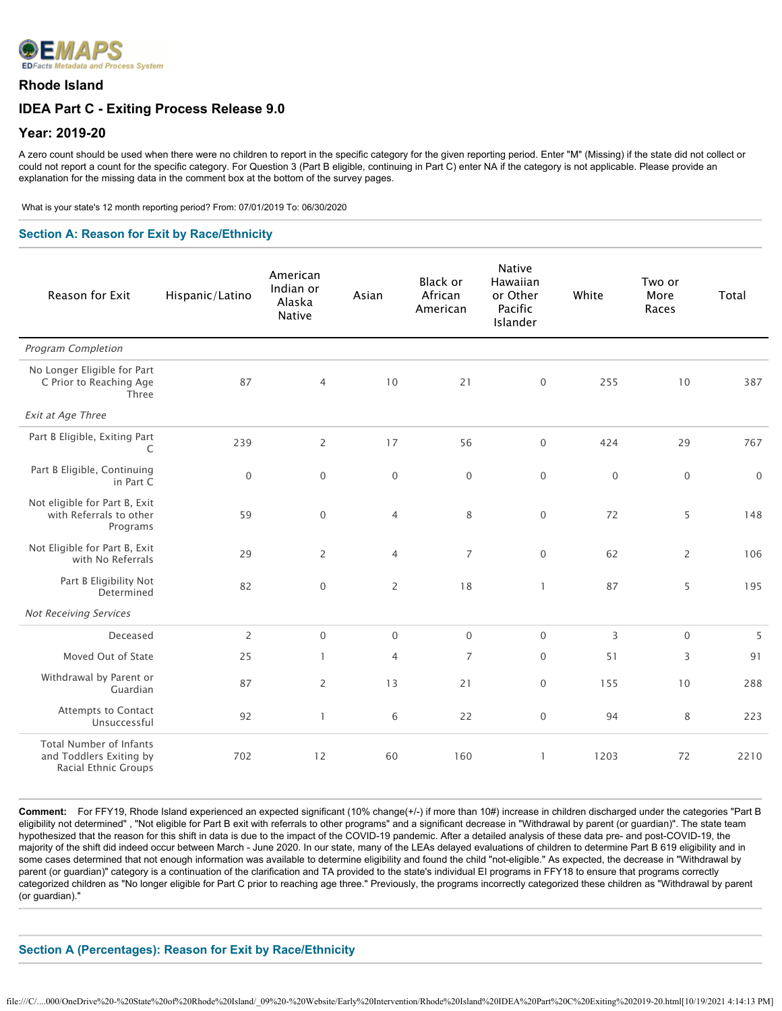

### **Rhode Island**

# **IDEA Part C - Exiting Process Release 9.0**

### **Year: 2019-20**

A zero count should be used when there were no children to report in the specific category for the given reporting period. Enter "M" (Missing) if the state did not collect or could not report a count for the specific category. For Question 3 (Part B eligible, continuing in Part C) enter NA if the category is not applicable. Please provide an explanation for the missing data in the comment box at the bottom of the survey pages.

What is your state's 12 month reporting period? From: 07/01/2019 To: 06/30/2020

### **Section A: Reason for Exit by Race/Ethnicity**

| Reason for Exit                                                                   | Hispanic/Latino | American<br>Indian or<br>Alaska<br>Native | Asian          | Black or<br>African<br>American | <b>Native</b><br>Hawaiian<br>or Other<br>Pacific<br>Islander | White          | Two or<br>More<br>Races | Total               |
|-----------------------------------------------------------------------------------|-----------------|-------------------------------------------|----------------|---------------------------------|--------------------------------------------------------------|----------------|-------------------------|---------------------|
| <b>Program Completion</b>                                                         |                 |                                           |                |                                 |                                                              |                |                         |                     |
| No Longer Eligible for Part<br>C Prior to Reaching Age<br>Three                   | 87              | $\overline{4}$                            | 10             | 21                              | $\mathbf 0$                                                  | 255            | 10                      | 387                 |
| Exit at Age Three                                                                 |                 |                                           |                |                                 |                                                              |                |                         |                     |
| Part B Eligible, Exiting Part<br>C                                                | 239             | 2                                         | 17             | 56                              | $\mathbf 0$                                                  | 424            | 29                      | 767                 |
| Part B Eligible, Continuing<br>in Part C                                          | $\mathbf 0$     | $\mathbf 0$                               | $\mathbf{0}$   | $\boldsymbol{0}$                | $\mathbf 0$                                                  | $\mathbf 0$    | $\mathbf 0$             | $\mathsf{O}\xspace$ |
| Not eligible for Part B, Exit<br>with Referrals to other<br>Programs              | 59              | $\mathbf{0}$                              | $\overline{4}$ | 8                               | $\mathbf{0}$                                                 | 72             | 5                       | 148                 |
| Not Eligible for Part B, Exit<br>with No Referrals                                | 29              | 2                                         | $\overline{4}$ | $\overline{7}$                  | $\mathbf 0$                                                  | 62             | $\overline{2}$          | 106                 |
| Part B Eligibility Not<br>Determined                                              | 82              | $\mathbf 0$                               | $\overline{2}$ | 18                              | $\mathbf{1}$                                                 | 87             | 5                       | 195                 |
| <b>Not Receiving Services</b>                                                     |                 |                                           |                |                                 |                                                              |                |                         |                     |
| Deceased                                                                          | $\overline{2}$  | $\mathbf 0$                               | $\mathbf 0$    | $\mathsf{O}\xspace$             | $\mathbf 0$                                                  | $\overline{3}$ | $\mathbf 0$             | 5                   |
| Moved Out of State                                                                | 25              | $\mathbf{1}$                              | $\overline{4}$ | $\overline{7}$                  | $\mathbf{0}$                                                 | 51             | 3                       | 91                  |
| Withdrawal by Parent or<br>Guardian                                               | 87              | $\overline{2}$                            | 13             | 21                              | $\mathbf 0$                                                  | 155            | 10                      | 288                 |
| <b>Attempts to Contact</b><br>Unsuccessful                                        | 92              | $\mathbf{1}$                              | 6              | 22                              | $\mathbf 0$                                                  | 94             | 8                       | 223                 |
| <b>Total Number of Infants</b><br>and Toddlers Exiting by<br>Racial Ethnic Groups | 702             | 12                                        | 60             | 160                             | $\mathbf{1}$                                                 | 1203           | 72                      | 2210                |

**Comment:** For FFY19, Rhode Island experienced an expected significant (10% change(+/-) if more than 10#) increase in children discharged under the categories "Part B eligibility not determined" , "Not eligible for Part B exit with referrals to other programs" and a significant decrease in "Withdrawal by parent (or guardian)". The state team hypothesized that the reason for this shift in data is due to the impact of the COVID-19 pandemic. After a detailed analysis of these data pre- and post-COVID-19, the majority of the shift did indeed occur between March - June 2020. In our state, many of the LEAs delayed evaluations of children to determine Part B 619 eligibility and in some cases determined that not enough information was available to determine eligibility and found the child "not-eligible." As expected, the decrease in "Withdrawal by parent (or guardian)" category is a continuation of the clarification and TA provided to the state's individual EI programs in FFY18 to ensure that programs correctly categorized children as "No longer eligible for Part C prior to reaching age three." Previously, the programs incorrectly categorized these children as "Withdrawal by parent (or guardian)."

#### **Section A (Percentages): Reason for Exit by Race/Ethnicity**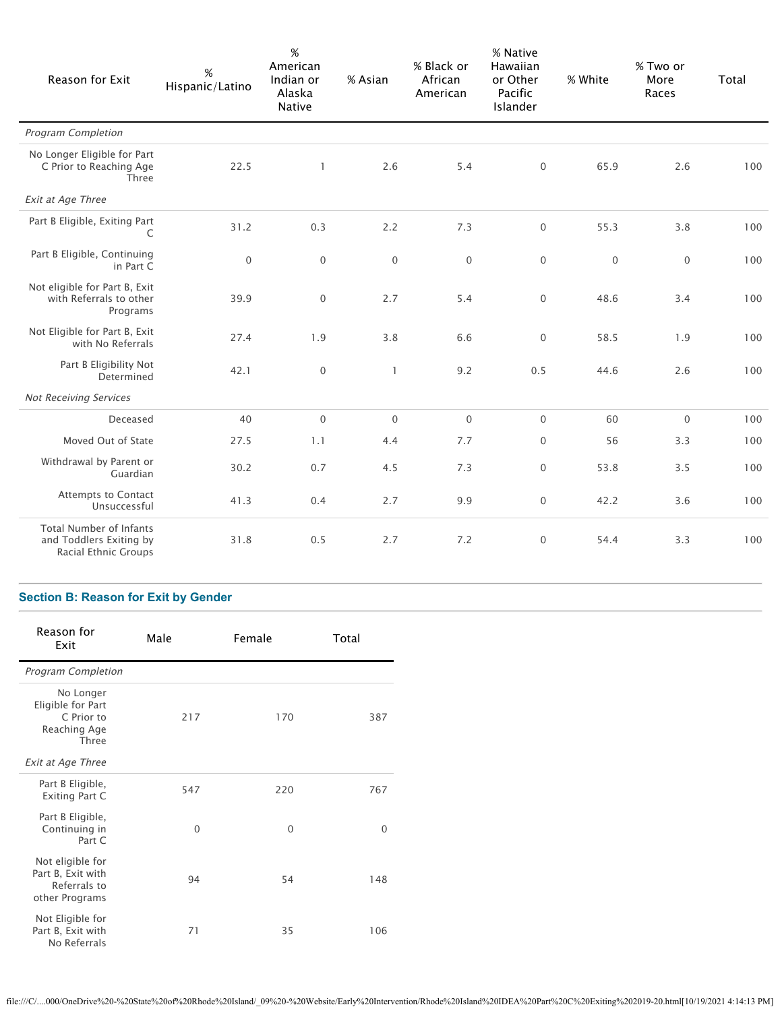| Reason for Exit                                                                   | %<br>Hispanic/Latino | $\%$<br>American<br>Indian or<br>Alaska<br>Native | % Asian        | % Black or<br>African<br>American | % Native<br>Hawaiian<br>or Other<br>Pacific<br>Islander | % White     | % Two or<br>More<br>Races | Total |
|-----------------------------------------------------------------------------------|----------------------|---------------------------------------------------|----------------|-----------------------------------|---------------------------------------------------------|-------------|---------------------------|-------|
| <b>Program Completion</b>                                                         |                      |                                                   |                |                                   |                                                         |             |                           |       |
| No Longer Eligible for Part<br>C Prior to Reaching Age<br>Three                   | 22.5                 | 1                                                 | 2.6            | 5.4                               | $\boldsymbol{0}$                                        | 65.9        | 2.6                       | 100   |
| Exit at Age Three                                                                 |                      |                                                   |                |                                   |                                                         |             |                           |       |
| Part B Eligible, Exiting Part<br>C                                                | 31.2                 | 0.3                                               | 2.2            | 7.3                               | $\mathsf 0$                                             | 55.3        | 3.8                       | 100   |
| Part B Eligible, Continuing<br>in Part C                                          | $\mathbf 0$          | $\boldsymbol{0}$                                  | $\mathbf 0$    | $\overline{0}$                    | $\overline{0}$                                          | $\mathbf 0$ | $\mathsf{O}\xspace$       | 100   |
| Not eligible for Part B, Exit<br>with Referrals to other<br>Programs              | 39.9                 | $\boldsymbol{0}$                                  | 2.7            | 5.4                               | $\boldsymbol{0}$                                        | 48.6        | 3.4                       | 100   |
| Not Eligible for Part B, Exit<br>with No Referrals                                | 27.4                 | 1.9                                               | 3.8            | 6.6                               | $\boldsymbol{0}$                                        | 58.5        | 1.9                       | 100   |
| Part B Eligibility Not<br>Determined                                              | 42.1                 | $\boldsymbol{0}$                                  | $\overline{1}$ | 9.2                               | 0.5                                                     | 44.6        | 2.6                       | 100   |
| <b>Not Receiving Services</b>                                                     |                      |                                                   |                |                                   |                                                         |             |                           |       |
| Deceased                                                                          | 40                   | $\boldsymbol{0}$                                  | $\mathbf 0$    | $\mathbf 0$                       | $\mathbf 0$                                             | 60          | $\mathbf 0$               | 100   |
| Moved Out of State                                                                | 27.5                 | 1.1                                               | 4.4            | 7.7                               | 0                                                       | 56          | 3.3                       | 100   |
| Withdrawal by Parent or<br>Guardian                                               | 30.2                 | 0.7                                               | 4.5            | 7.3                               | $\mathbf{0}$                                            | 53.8        | 3.5                       | 100   |
| <b>Attempts to Contact</b><br>Unsuccessful                                        | 41.3                 | 0.4                                               | 2.7            | 9.9                               | $\mathbf 0$                                             | 42.2        | 3.6                       | 100   |
| <b>Total Number of Infants</b><br>and Toddlers Exiting by<br>Racial Ethnic Groups | 31.8                 | 0.5                                               | 2.7            | 7.2                               | $\mathbf 0$                                             | 54.4        | 3.3                       | 100   |

# **Section B: Reason for Exit by Gender**

| Reason for<br>Exit                                                      | Male     | Female   | Total    |
|-------------------------------------------------------------------------|----------|----------|----------|
| <b>Program Completion</b>                                               |          |          |          |
| No Longer<br>Eligible for Part<br>C Prior to<br>Reaching Age<br>Three   | 217      | 170      | 387      |
| <b>Exit at Age Three</b>                                                |          |          |          |
| Part B Eligible,<br>Exiting Part C                                      | 547      | 220      | 767      |
| Part B Eligible,<br>Continuing in<br>Part C                             | $\Omega$ | $\Omega$ | $\Omega$ |
| Not eligible for<br>Part B, Exit with<br>Referrals to<br>other Programs | 94       | 54       | 148      |
| Not Eligible for<br>Part B, Exit with<br>No Referrals                   | 71       | 35       | 106      |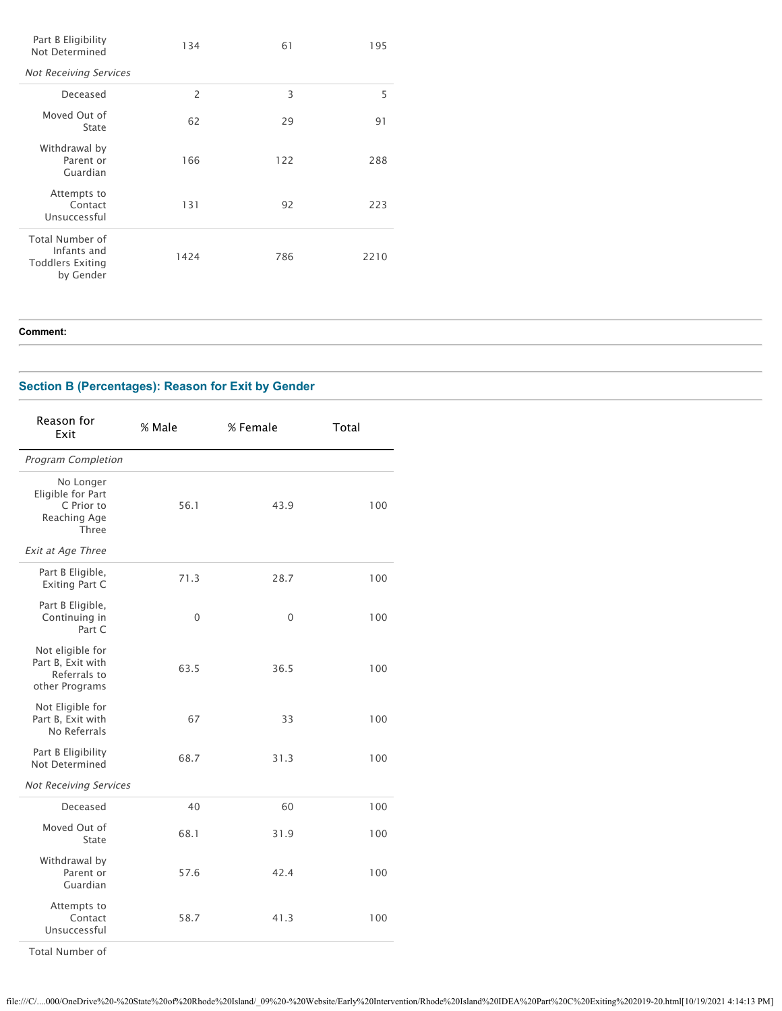| Part B Eligibility<br>Not Determined                                   | 134  | 61  | 195  |
|------------------------------------------------------------------------|------|-----|------|
| <b>Not Receiving Services</b>                                          |      |     |      |
| Deceased                                                               | 2    | 3   | 5    |
| Moved Out of<br>State                                                  | 62   | 29  | 91   |
| Withdrawal by<br>Parent or<br>Guardian                                 | 166  | 122 | 288  |
| Attempts to<br>Contact<br>Unsuccessful                                 | 131  | 92  | 223  |
| Total Number of<br>Infants and<br><b>Toddlers Exiting</b><br>by Gender | 1424 | 786 | 2210 |

**Comment:** 

# **Section B (Percentages): Reason for Exit by Gender**

| Reason for<br>Fxit                                                      | % Male | % Female | Total |
|-------------------------------------------------------------------------|--------|----------|-------|
| <b>Program Completion</b>                                               |        |          |       |
| No Longer<br>Eligible for Part<br>C Prior to<br>Reaching Age<br>Three   | 56.1   | 43.9     | 100   |
| <b>Exit at Age Three</b>                                                |        |          |       |
| Part B Eligible,<br><b>Exiting Part C</b>                               | 71.3   | 28.7     | 100   |
| Part B Eligible,<br>Continuing in<br>Part C                             | 0      | 0        | 100   |
| Not eligible for<br>Part B, Exit with<br>Referrals to<br>other Programs | 63.5   | 36.5     | 100   |
| Not Eligible for<br>Part B, Exit with<br>No Referrals                   | 67     | 33       | 100   |
| Part B Eligibility<br>Not Determined                                    | 68.7   | 31.3     | 100   |
| <b>Not Receiving Services</b>                                           |        |          |       |
| Deceased                                                                | 40     | 60       | 100   |
| Moved Out of<br>State                                                   | 68.1   | 31.9     | 100   |
| Withdrawal by<br>Parent or<br>Guardian                                  | 57.6   | 42.4     | 100   |
| Attempts to<br>Contact<br>Unsuccessful                                  | 58.7   | 41.3     | 100   |

Total Number of